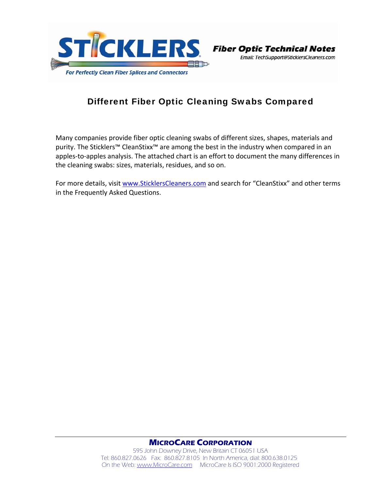



## Different Fiber Optic Cleaning Swabs Compared

Many companies provide fiber optic cleaning swabs of different sizes, shapes, materials and purity. The Sticklers™ CleanStixx™ are among the best in the industry when compared in an apples-to-apples analysis. The attached chart is an effort to document the many differences in the cleaning swabs: sizes, materials, residues, and so on.

For more details, visit www.SticklersCleaners.com and search for "CleanStixx" and other terms in the Frequently Asked Questions.

## **MICROCARE CORPORATION**